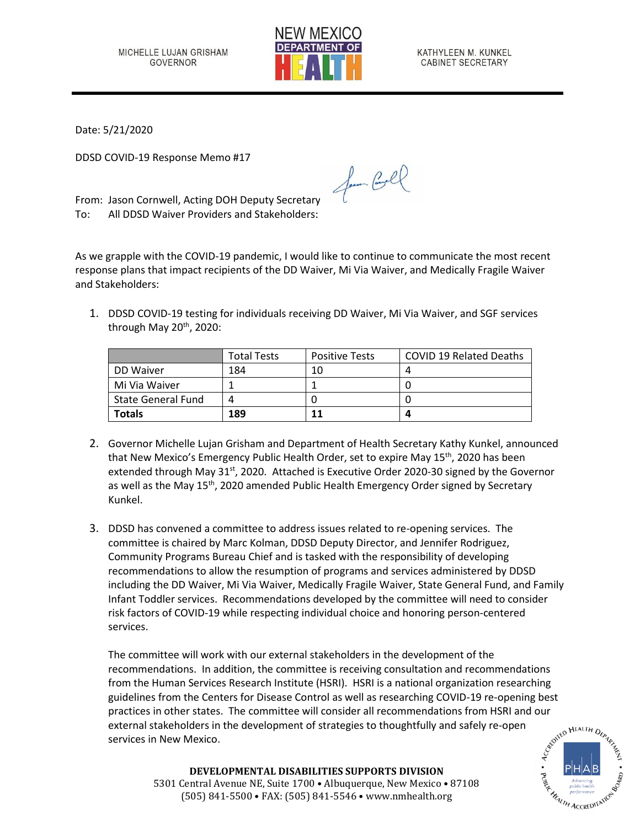

KATHYLEEN M. KUNKEL CABINET SECRETARY

Date: 5/21/2020

DDSD COVID-19 Response Memo #17

From: Jason Cornwell, Acting DOH Deputy Secretary To: All DDSD Waiver Providers and Stakeholders:

As we grapple with the COVID-19 pandemic, I would like to continue to communicate the most recent response plans that impact recipients of the DD Waiver, Mi Via Waiver, and Medically Fragile Waiver and Stakeholders:

for Cool

1. DDSD COVID-19 testing for individuals receiving DD Waiver, Mi Via Waiver, and SGF services through May 20<sup>th</sup>, 2020:

|                           | <b>Total Tests</b> | <b>Positive Tests</b> | <b>COVID 19 Related Deaths</b> |
|---------------------------|--------------------|-----------------------|--------------------------------|
| DD Waiver                 | 184                | 10                    |                                |
| Mi Via Waiver             |                    |                       |                                |
| <b>State General Fund</b> | $\Lambda$          |                       |                                |
| <b>Totals</b>             | 189                |                       |                                |

- 2. Governor Michelle Lujan Grisham and Department of Health Secretary Kathy Kunkel, announced that New Mexico's Emergency Public Health Order, set to expire May 15<sup>th</sup>, 2020 has been extended through May 31<sup>st</sup>, 2020. Attached is Executive Order 2020-30 signed by the Governor as well as the May 15<sup>th</sup>, 2020 amended Public Health Emergency Order signed by Secretary Kunkel.
- 3. DDSD has convened a committee to address issues related to re-opening services. The committee is chaired by Marc Kolman, DDSD Deputy Director, and Jennifer Rodriguez, Community Programs Bureau Chief and is tasked with the responsibility of developing recommendations to allow the resumption of programs and services administered by DDSD including the DD Waiver, Mi Via Waiver, Medically Fragile Waiver, State General Fund, and Family Infant Toddler services. Recommendations developed by the committee will need to consider risk factors of COVID-19 while respecting individual choice and honoring person-centered services.

The committee will work with our external stakeholders in the development of the recommendations. In addition, the committee is receiving consultation and recommendations from the Human Services Research Institute (HSRI). HSRI is a national organization researching guidelines from the Centers for Disease Control as well as researching COVID-19 re-opening best practices in other states. The committee will consider all recommendations from HSRI and our external stakeholders in the development of strategies to thoughtfully and safely re-open services in New Mexico. external stakeholders in the development of strategies to thoughtfully and safely re-open services in New Mexico.



**DEVELOPMENTAL DISABILITIES SUPPORTS DIVISION** 5301 Central Avenue NE, Suite 1700 • Albuquerque, New Mexico • 87108 (505) 841-5500 • FAX: (505) 841-5546 • www.nmhealth.org